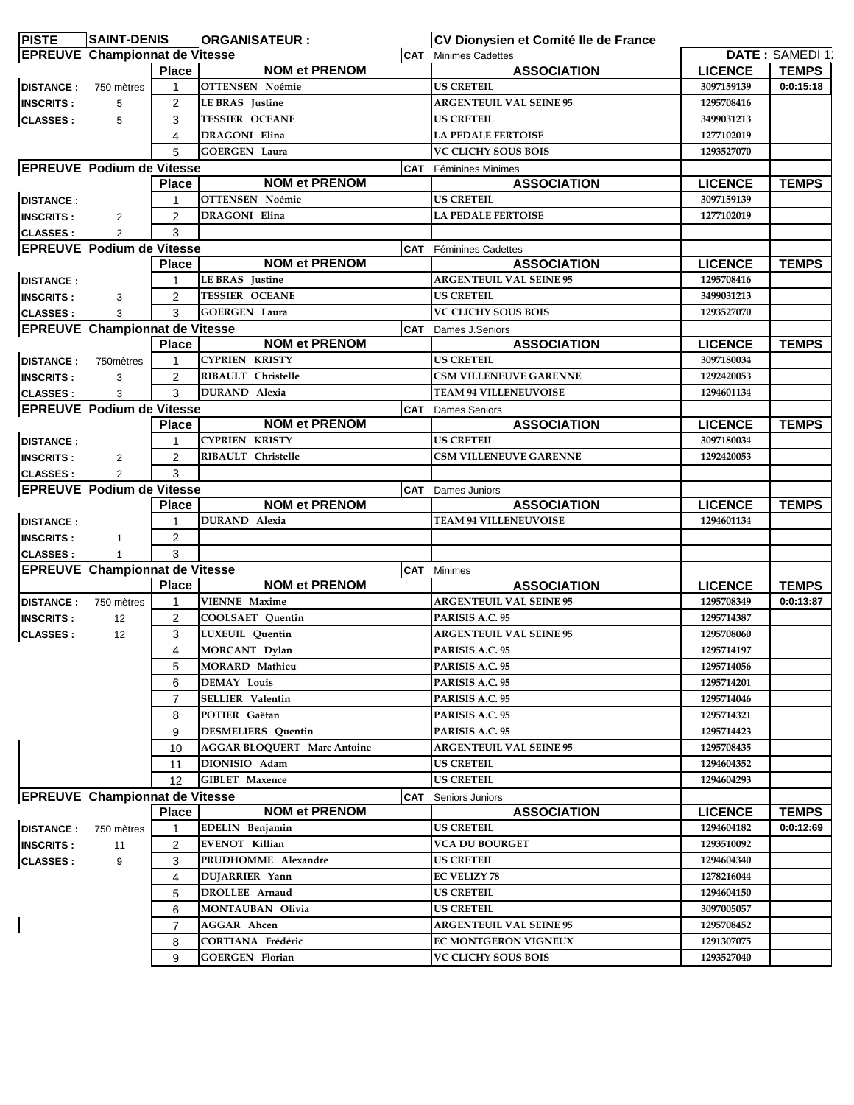| <b>PISTE</b>     | <b>SAINT-DENIS</b>                    |                | <b>ORGANISATEUR:</b>               |            | CV Dionysien et Comité Ile de France |                |                       |
|------------------|---------------------------------------|----------------|------------------------------------|------------|--------------------------------------|----------------|-----------------------|
|                  | <b>EPREUVE</b> Championnat de Vitesse |                |                                    |            | <b>CAT</b> Minimes Cadettes          |                | <b>DATE: SAMEDI13</b> |
|                  |                                       | <b>Place</b>   | <b>NOM et PRENOM</b>               |            | <b>ASSOCIATION</b>                   | <b>LICENCE</b> | <b>TEMPS</b>          |
| <b>DISTANCE:</b> | 750 mètres                            | 1              | <b>OTTENSEN Noémie</b>             |            | <b>US CRETEIL</b>                    | 3097159139     | 0:0:15:18             |
| <b>INSCRITS:</b> | 5                                     | 2              | <b>LE BRAS</b> Justine             |            | <b>ARGENTEUIL VAL SEINE 95</b>       | 1295708416     |                       |
| <b>CLASSES:</b>  | 5                                     | 3              | <b>TESSIER OCEANE</b>              |            | <b>US CRETEIL</b>                    | 3499031213     |                       |
|                  |                                       | 4              | <b>DRAGONI</b> Elina               |            | <b>LA PEDALE FERTOISE</b>            | 1277102019     |                       |
|                  |                                       | 5              | <b>GOERGEN Laura</b>               |            | <b>VC CLICHY SOUS BOIS</b>           | 1293527070     |                       |
|                  | <b>EPREUVE Podium de Vitesse</b>      |                |                                    |            | <b>CAT</b> Féminines Minimes         |                |                       |
|                  |                                       | <b>Place</b>   | <b>NOM et PRENOM</b>               |            | <b>ASSOCIATION</b>                   | <b>LICENCE</b> | <b>TEMPS</b>          |
| <b>DISTANCE:</b> |                                       | 1              | <b>OTTENSEN Noémie</b>             |            | <b>US CRETEIL</b>                    | 3097159139     |                       |
| <b>INSCRITS:</b> | $\overline{2}$                        | 2              | <b>DRAGONI Elina</b>               |            | <b>LA PEDALE FERTOISE</b>            | 1277102019     |                       |
| <b>CLASSES:</b>  | $\overline{2}$                        | 3              |                                    |            |                                      |                |                       |
|                  | <b>EPREUVE Podium de Vitesse</b>      |                |                                    |            | <b>CAT</b> Féminines Cadettes        |                |                       |
|                  |                                       | <b>Place</b>   | <b>NOM et PRENOM</b>               |            | <b>ASSOCIATION</b>                   | <b>LICENCE</b> | <b>TEMPS</b>          |
| <b>DISTANCE:</b> |                                       | $\mathbf{1}$   | <b>LEBRAS</b> Justine              |            | <b>ARGENTEUIL VAL SEINE 95</b>       | 1295708416     |                       |
| <b>INSCRITS:</b> | 3                                     | $\overline{2}$ | <b>TESSIER OCEANE</b>              |            | <b>US CRETEIL</b>                    | 3499031213     |                       |
| <b>CLASSES:</b>  | 3                                     | 3              | <b>GOERGEN Laura</b>               |            | VC CLICHY SOUS BOIS                  | 1293527070     |                       |
|                  | <b>EPREUVE Championnat de Vitesse</b> |                |                                    |            | <b>CAT</b> Dames J.Seniors           |                |                       |
|                  |                                       | <b>Place</b>   | <b>NOM et PRENOM</b>               |            | <b>ASSOCIATION</b>                   | <b>LICENCE</b> | <b>TEMPS</b>          |
| <b>DISTANCE:</b> | 750 mètres                            | 1              | <b>CYPRIEN KRISTY</b>              |            | <b>US CRETEIL</b>                    | 3097180034     |                       |
| <b>INSCRITS:</b> | 3                                     | 2              | RIBAULT Christelle                 |            | <b>CSM VILLENEUVE GARENNE</b>        | 1292420053     |                       |
| <b>CLASSES:</b>  | 3                                     | 3              | <b>DURAND</b> Alexia               |            | <b>TEAM 94 VILLENEUVOISE</b>         | 1294601134     |                       |
|                  | <b>EPREUVE Podium de Vitesse</b>      |                |                                    | <b>CAT</b> | <b>Dames Seniors</b>                 |                |                       |
|                  |                                       | <b>Place</b>   | <b>NOM et PRENOM</b>               |            | <b>ASSOCIATION</b>                   | <b>LICENCE</b> | <b>TEMPS</b>          |
| <b>DISTANCE:</b> |                                       |                | <b>CYPRIEN KRISTY</b>              |            | <b>US CRETEIL</b>                    | 3097180034     |                       |
| <b>INSCRITS:</b> | $\overline{2}$                        | 2              | RIBAULT Christelle                 |            | <b>CSM VILLENEUVE GARENNE</b>        | 1292420053     |                       |
| <b>CLASSES:</b>  | $\overline{2}$                        | 3              |                                    |            |                                      |                |                       |
|                  | <b>EPREUVE Podium de Vitesse</b>      |                |                                    |            | <b>CAT</b> Dames Juniors             |                |                       |
|                  |                                       | <b>Place</b>   | <b>NOM et PRENOM</b>               |            | <b>ASSOCIATION</b>                   | <b>LICENCE</b> | <b>TEMPS</b>          |
| <b>DISTANCE:</b> |                                       | 1              | <b>DURAND</b> Alexia               |            | <b>TEAM 94 VILLENEUVOISE</b>         | 1294601134     |                       |
| <b>INSCRITS:</b> | $\mathbf{1}$                          | $\overline{2}$ |                                    |            |                                      |                |                       |
| <b>CLASSES:</b>  | 1                                     | 3              |                                    |            |                                      |                |                       |
|                  | <b>EPREUVE Championnat de Vitesse</b> |                |                                    |            | <b>CAT</b> Minimes                   |                |                       |
|                  |                                       | <b>Place</b>   | <b>NOM et PRENOM</b>               |            | <b>ASSOCIATION</b>                   | <b>LICENCE</b> | <b>TEMPS</b>          |
| <b>DISTANCE:</b> | 750 mètres                            | -1             | <b>VIENNE Maxime</b>               |            | <b>ARGENTEUIL VAL SEINE 95</b>       | 1295708349     | 0:0:13:87             |
| <b>INSCRITS:</b> | 12                                    | 2              | COOLSAET Quentin                   |            | PARISIS A.C. 95                      | 1295714387     |                       |
| <b>CLASSES:</b>  | 12                                    | 3              | LUXEUIL Quentin                    |            | <b>ARGENTEUIL VAL SEINE 95</b>       | 1295708060     |                       |
|                  |                                       | 4              | <b>MORCANT</b> Dylan               |            | PARISIS A.C. 95                      | 1295714197     |                       |
|                  |                                       | 5              | <b>MORARD Mathieu</b>              |            | PARISIS A.C. 95                      | 1295714056     |                       |
|                  |                                       | 6              | <b>DEMAY Louis</b>                 |            | PARISIS A.C. 95                      | 1295714201     |                       |
|                  |                                       | $\overline{7}$ | <b>SELLIER Valentin</b>            |            | PARISIS A.C. 95                      | 1295714046     |                       |
|                  |                                       | 8              | POTIER Gaëtan                      |            | PARISIS A.C. 95                      | 1295714321     |                       |
|                  |                                       | 9              | <b>DESMELIERS</b> Quentin          |            | PARISIS A.C. 95                      | 1295714423     |                       |
|                  |                                       | 10             | <b>AGGAR BLOQUERT Marc Antoine</b> |            | <b>ARGENTEUIL VAL SEINE 95</b>       | 1295708435     |                       |
|                  |                                       | 11             | DIONISIO Adam                      |            | <b>US CRETEIL</b>                    | 1294604352     |                       |
|                  |                                       | 12             | <b>GIBLET</b> Maxence              |            | <b>US CRETEIL</b>                    | 1294604293     |                       |
|                  | <b>EPREUVE Championnat de Vitesse</b> |                |                                    | <b>CAT</b> | Seniors Juniors                      |                |                       |
|                  |                                       | <b>Place</b>   | <b>NOM et PRENOM</b>               |            | <b>ASSOCIATION</b>                   | <b>LICENCE</b> | <b>TEMPS</b>          |
| <b>DISTANCE:</b> | 750 mètres                            |                | EDELIN Benjamin                    |            | <b>US CRETEIL</b>                    | 1294604182     | 0:0:12:69             |
| <b>INSCRITS:</b> | 11                                    | 2              | <b>EVENOT Killian</b>              |            | <b>VCA DU BOURGET</b>                | 1293510092     |                       |
|                  |                                       | 3              | PRUDHOMME Alexandre                |            | <b>US CRETEIL</b>                    | 1294604340     |                       |
| <b>CLASSES:</b>  | 9                                     |                |                                    |            | <b>EC VELIZY 78</b>                  | 1278216044     |                       |
|                  |                                       | 4              | DUJARRIER Yann                     |            |                                      |                |                       |
|                  |                                       | 5              | DROLLEE Arnaud                     |            | <b>US CRETEIL</b>                    | 1294604150     |                       |
|                  |                                       | 6              | MONTAUBAN Olivia                   |            | <b>US CRETEIL</b>                    | 3097005057     |                       |
|                  |                                       | 7              | <b>AGGAR</b> Ahcen                 |            | <b>ARGENTEUIL VAL SEINE 95</b>       | 1295708452     |                       |
|                  |                                       | 8              | <b>CORTIANA Frédéric</b>           |            | <b>EC MONTGERON VIGNEUX</b>          | 1291307075     |                       |
|                  |                                       | 9              | <b>GOERGEN Florian</b>             |            | <b>VC CLICHY SOUS BOIS</b>           | 1293527040     |                       |